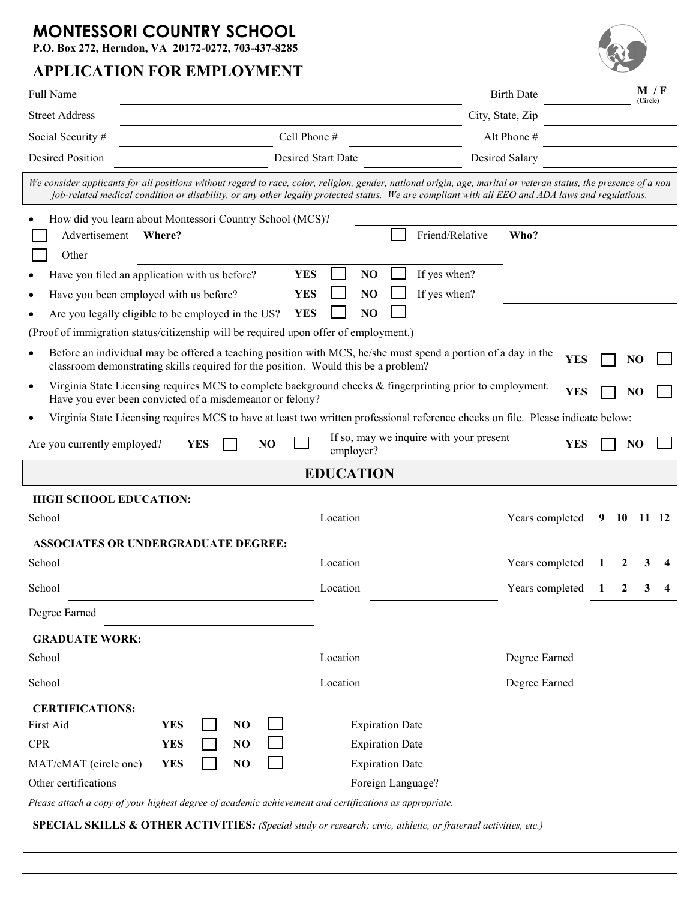## **MONTESSORI COUNTRY SCHOOL**

**P.O. Box 272, Herndon, VA 20172-0272, 703-437-8285**

## **APPLICATION FOR EMPLOYMENT**

 $\lceil$ 

| Full Name                                                                                          |                                                                                                                                                                                                                                                                                                                     |                    |                                                                            |                                         | <b>Birth Date</b> |              |      | M / F<br>(Circle) |  |
|----------------------------------------------------------------------------------------------------|---------------------------------------------------------------------------------------------------------------------------------------------------------------------------------------------------------------------------------------------------------------------------------------------------------------------|--------------------|----------------------------------------------------------------------------|-----------------------------------------|-------------------|--------------|------|-------------------|--|
| <b>Street Address</b>                                                                              |                                                                                                                                                                                                                                                                                                                     | City, State, Zip   |                                                                            |                                         |                   |              |      |                   |  |
| Social Security #                                                                                  | Cell Phone #                                                                                                                                                                                                                                                                                                        |                    |                                                                            | Alt Phone #                             |                   |              |      |                   |  |
| <b>Desired Position</b>                                                                            |                                                                                                                                                                                                                                                                                                                     | Desired Start Date |                                                                            |                                         | Desired Salary    |              |      |                   |  |
|                                                                                                    | We consider applicants for all positions without regard to race, color, religion, gender, national origin, age, marital or veteran status, the presence of a non<br>job-related medical condition or disability, or any other legally protected status. We are compliant with all EEO and ADA laws and regulations. |                    |                                                                            |                                         |                   |              |      |                   |  |
| Advertisement<br>Other                                                                             | How did you learn about Montessori Country School (MCS)?<br>Where?                                                                                                                                                                                                                                                  |                    |                                                                            | Friend/Relative                         | Who?              |              |      |                   |  |
|                                                                                                    | Have you filed an application with us before?                                                                                                                                                                                                                                                                       | NO<br><b>YES</b>   |                                                                            | If yes when?                            |                   |              |      |                   |  |
|                                                                                                    | Have you been employed with us before?                                                                                                                                                                                                                                                                              | <b>YES</b><br>NO   |                                                                            | If yes when?                            |                   |              |      |                   |  |
|                                                                                                    | Are you legally eligible to be employed in the US?                                                                                                                                                                                                                                                                  | <b>YES</b><br>NO   |                                                                            |                                         |                   |              |      |                   |  |
|                                                                                                    | (Proof of immigration status/citizenship will be required upon offer of employment.)                                                                                                                                                                                                                                |                    |                                                                            |                                         |                   |              |      |                   |  |
| $\bullet$                                                                                          | Before an individual may be offered a teaching position with MCS, he/she must spend a portion of a day in the<br>classroom demonstrating skills required for the position. Would this be a problem?                                                                                                                 |                    |                                                                            |                                         | <b>YES</b>        |              |      | N <sub>O</sub>    |  |
| $\bullet$                                                                                          | Virginia State Licensing requires MCS to complete background checks & fingerprinting prior to employment.<br>Have you ever been convicted of a misdemeanor or felony?                                                                                                                                               |                    |                                                                            |                                         | <b>YES</b>        |              |      | NO                |  |
|                                                                                                    | Virginia State Licensing requires MCS to have at least two written professional reference checks on file. Please indicate below:                                                                                                                                                                                    |                    |                                                                            |                                         |                   |              |      |                   |  |
| Are you currently employed?                                                                        | <b>YES</b><br>N <sub>O</sub>                                                                                                                                                                                                                                                                                        | employer?          |                                                                            | If so, may we inquire with your present | <b>YES</b>        |              |      | N <sub>O</sub>    |  |
|                                                                                                    |                                                                                                                                                                                                                                                                                                                     | <b>EDUCATION</b>   |                                                                            |                                         |                   |              |      |                   |  |
| <b>HIGH SCHOOL EDUCATION:</b>                                                                      |                                                                                                                                                                                                                                                                                                                     |                    |                                                                            |                                         |                   |              |      |                   |  |
| School                                                                                             |                                                                                                                                                                                                                                                                                                                     | Location           |                                                                            |                                         | Years completed   | 9            | - 10 | 11 12             |  |
|                                                                                                    | <b>ASSOCIATES OR UNDERGRADUATE DEGREE:</b>                                                                                                                                                                                                                                                                          |                    |                                                                            |                                         |                   |              |      |                   |  |
| School                                                                                             |                                                                                                                                                                                                                                                                                                                     | Location           |                                                                            |                                         | Years completed   |              | 2    | 3                 |  |
| School                                                                                             |                                                                                                                                                                                                                                                                                                                     | Location           |                                                                            |                                         | Years completed   | $\mathbf{I}$ | 2    |                   |  |
| Degree Earned                                                                                      |                                                                                                                                                                                                                                                                                                                     |                    |                                                                            |                                         |                   |              |      |                   |  |
| <b>GRADUATE WORK:</b>                                                                              |                                                                                                                                                                                                                                                                                                                     |                    |                                                                            |                                         |                   |              |      |                   |  |
| School                                                                                             |                                                                                                                                                                                                                                                                                                                     | Location           |                                                                            |                                         | Degree Earned     |              |      |                   |  |
| School                                                                                             |                                                                                                                                                                                                                                                                                                                     | Location           |                                                                            |                                         | Degree Earned     |              |      |                   |  |
| <b>CERTIFICATIONS:</b><br>First Aid<br><b>CPR</b><br>MAT/eMAT (circle one)<br>Other certifications | <b>YES</b><br>NO<br>NO<br><b>YES</b><br>NO<br><b>YES</b>                                                                                                                                                                                                                                                            |                    | <b>Expiration Date</b><br><b>Expiration Date</b><br><b>Expiration Date</b> |                                         |                   |              |      |                   |  |
|                                                                                                    | Please attach a copy of your highest degree of academic achievement and certifications as appropriate.                                                                                                                                                                                                              |                    | Foreign Language?                                                          |                                         |                   |              |      |                   |  |
|                                                                                                    |                                                                                                                                                                                                                                                                                                                     |                    |                                                                            |                                         |                   |              |      |                   |  |

**SPECIAL SKILLS & OTHER ACTIVITIES***: (Special study or research; civic, athletic, or fraternal activities, etc.)*